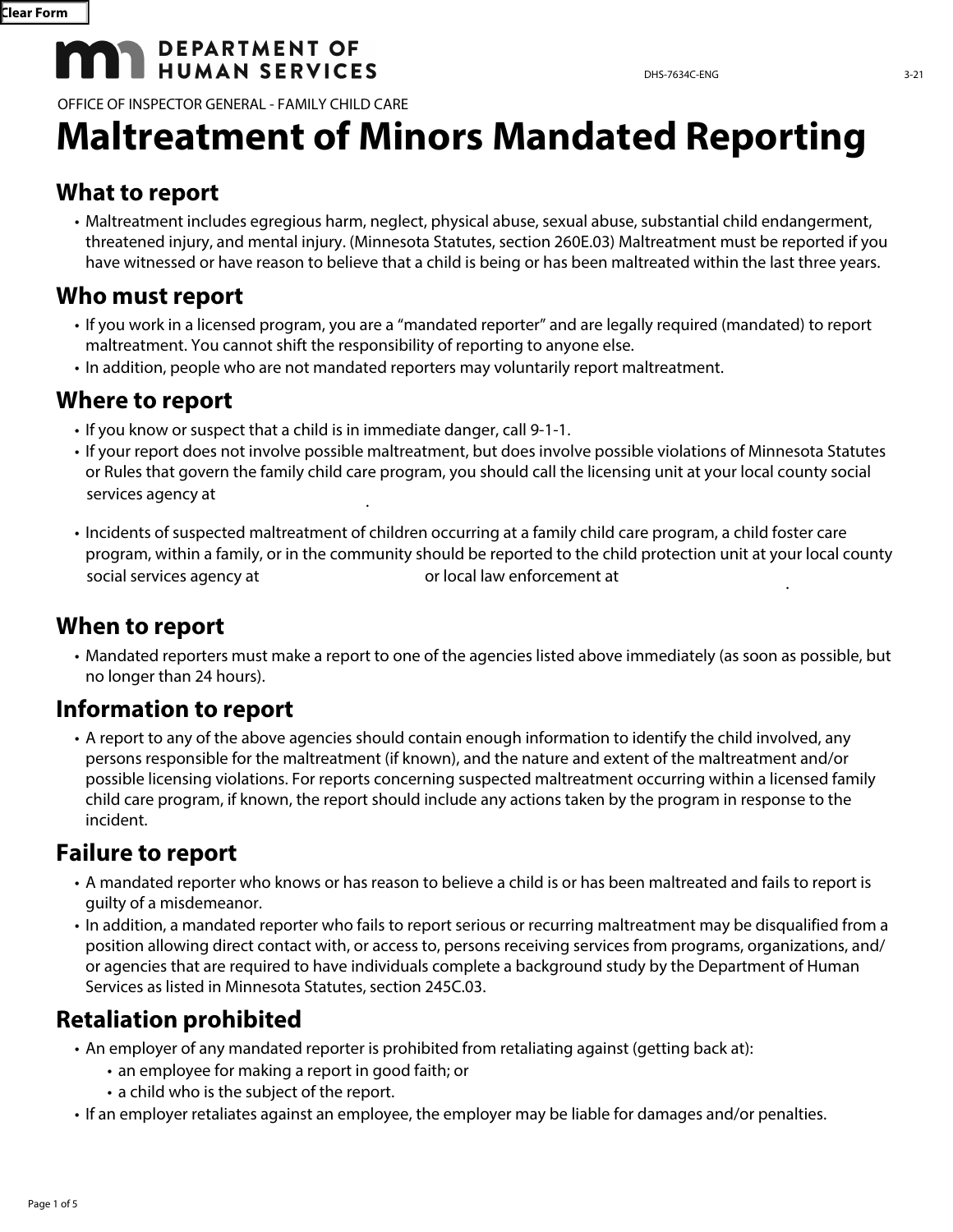# **DEPARTMENT OF HUMAN SERVICES**

OFFICE OF INSPECTOR GENERAL - FAMILY CHILD CARE

## **What to report**

• Maltreatment includes egregious harm, neglect, physical abuse, sexual abuse, substantial child endangerment, threatened injury, and mental injury. (Minnesota Statutes, section 260E.03) Maltreatment must be reported if you have witnessed or have reason to believe that a child is being or has been maltreated within the last three years.

## **Who must report**

- If you work in a licensed program, you are a "mandated reporter" and are legally required (mandated) to report maltreatment. You cannot shift the responsibility of reporting to anyone else.
- In addition, people who are not mandated reporters may voluntarily report maltreatment.

## **Where to report**

- If you know or suspect that a child is in immediate danger, call 9-1-1.
- If your report does not involve possible maltreatment, but does involve possible violations of Minnesota Statutes or Rules that govern the family child care program, you should call the licensing unit at your local county social services agency at
- Incidents of suspected maltreatment of children occurring at a family child care program, a child foster care program, within a family, or in the community should be reported to the child protection unit at your local county social services agency at  $\qquad \qquad$  or local law enforcement at

## **When to report**

• Mandated reporters must make a report to one of the agencies listed above immediately (as soon as possible, but no longer than 24 hours).

# **Information to report**

• A report to any of the above agencies should contain enough information to identify the child involved, any persons responsible for the maltreatment (if known), and the nature and extent of the maltreatment and/or possible licensing violations. For reports concerning suspected maltreatment occurring within a licensed family child care program, if known, the report should include any actions taken by the program in response to the incident.

# **Failure to report**

- A mandated reporter who knows or has reason to believe a child is or has been maltreated and fails to report is guilty of a misdemeanor.
- In addition, a mandated reporter who fails to report serious or recurring maltreatment may be disqualified from a position allowing direct contact with, or access to, persons receiving services from programs, organizations, and/ or agencies that are required to have individuals complete a background study by the Department of Human Services as listed in Minnesota Statutes, section 245C.03.

# **Retaliation prohibited**

- An employer of any mandated reporter is prohibited from retaliating against (getting back at):
	- an employee for making a report in good faith; or
	- a child who is the subject of the report.
- If an employer retaliates against an employee, the employer may be liable for damages and/or penalties.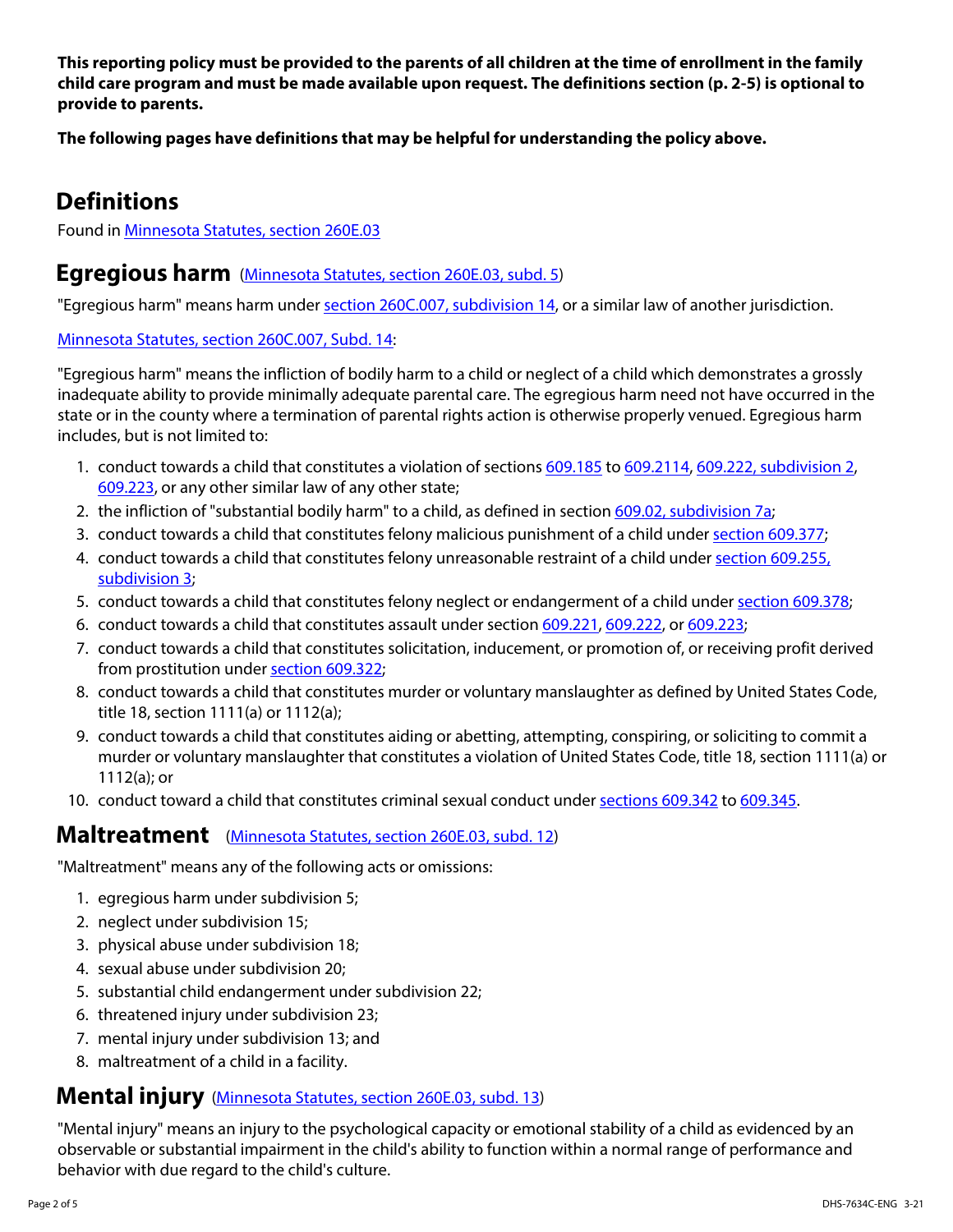**This reporting policy must be provided to the parents of all children at the time of enrollment in the family child care program and must be made available upon request. The definitions section (p. 2-5) is optional to provide to parents.** 

**The following pages have definitions that may be helpful for understanding the policy above.** 

## **Definitions**

Found in [Minnesota Statutes, section 260E.03](https://www.revisor.mn.gov/statutes/cite/260E.03)

#### **Egregious harm** [\(Minnesota Statutes, section 260E.03, subd. 5](https://www.revisor.mn.gov/statutes/cite/260E.03#stat.260E.03.5))

"Egregious harm" means harm under [section 260C.007, subdivision 14,](https://www.revisor.mn.gov/statutes/cite/260C.007#stat.260C.007.14) or a similar law of another jurisdiction.

[Minnesota Statutes, section 260C.007, Subd. 14](https://www.revisor.mn.gov/statutes/cite/260C.007#stat.260C.007.14):

"Egregious harm" means the infliction of bodily harm to a child or neglect of a child which demonstrates a grossly inadequate ability to provide minimally adequate parental care. The egregious harm need not have occurred in the state or in the county where a termination of parental rights action is otherwise properly venued. Egregious harm includes, but is not limited to:

- 1. conduct towards a child that constitutes a violation of sections [609.185](https://www.revisor.mn.gov/statutes/cite/609.185) to [609.2114](https://www.revisor.mn.gov/statutes/cite/609.2114), [609.222, subdivision 2,](https://www.revisor.mn.gov/statutes/cite/609.222#stat.609.222.2) [609.223](https://www.revisor.mn.gov/statutes/cite/609.223), or any other similar law of any other state;
- 2. the infliction of "substantial bodily harm" to a child, as defined in section [609.02, subdivision 7a](https://www.revisor.mn.gov/statutes/cite/609.02#stat.609.02.7a);
- 3. conduct towards a child that constitutes felony malicious punishment of a child under [section 609.377;](https://www.revisor.mn.gov/statutes/cite/609.377)
- 4. conduct towards a child that constitutes felony unreasonable restraint of a child under [section 609.255,](https://www.revisor.mn.gov/statutes/cite/609.255#stat.609.255.3)  [subdivision 3](https://www.revisor.mn.gov/statutes/cite/609.255#stat.609.255.3);
- 5. conduct towards a child that constitutes felony neglect or endangerment of a child under [section 609.378;](https://www.revisor.mn.gov/statutes/cite/609.378)
- 6. conduct towards a child that constitutes assault under section [609.221,](https://www.revisor.mn.gov/statutes/cite/609.221) [609.222](https://www.revisor.mn.gov/statutes/cite/609.222), or [609.223](https://www.revisor.mn.gov/statutes/cite/609.223);
- 7. conduct towards a child that constitutes solicitation, inducement, or promotion of, or receiving profit derived from prostitution under [section 609.322;](https://www.revisor.mn.gov/statutes/cite/609.322)
- 8. conduct towards a child that constitutes murder or voluntary manslaughter as defined by United States Code, title 18, section 1111(a) or 1112(a);
- 9. conduct towards a child that constitutes aiding or abetting, attempting, conspiring, or soliciting to commit a murder or voluntary manslaughter that constitutes a violation of United States Code, title 18, section 1111(a) or 1112(a); or
- 10. conduct toward a child that constitutes criminal sexual conduct under [sections 609.342](https://www.revisor.mn.gov/statutes/cite/609.342) to [609.345.](https://www.revisor.mn.gov/statutes/cite/609.345)

#### **Maltreatment** [\(Minnesota Statutes, section 260E.03, subd. 12\)](https://www.revisor.mn.gov/statutes/cite/260E.03#stat.260E.03.12)

"Maltreatment" means any of the following acts or omissions:

- 1. egregious harm under subdivision 5;
- 2. neglect under subdivision 15;
- 3. physical abuse under subdivision 18;
- 4. sexual abuse under subdivision 20;
- 5. substantial child endangerment under subdivision 22;
- 6. threatened injury under subdivision 23;
- 7. mental injury under subdivision 13; and
- 8. maltreatment of a child in a facility.

#### **Mental injury** [\(Minnesota Statutes, section 260E.03, subd. 13\)](https://www.revisor.mn.gov/statutes/cite/260E.03#stat.260E.03.13)

"Mental injury" means an injury to the psychological capacity or emotional stability of a child as evidenced by an observable or substantial impairment in the child's ability to function within a normal range of performance and behavior with due regard to the child's culture.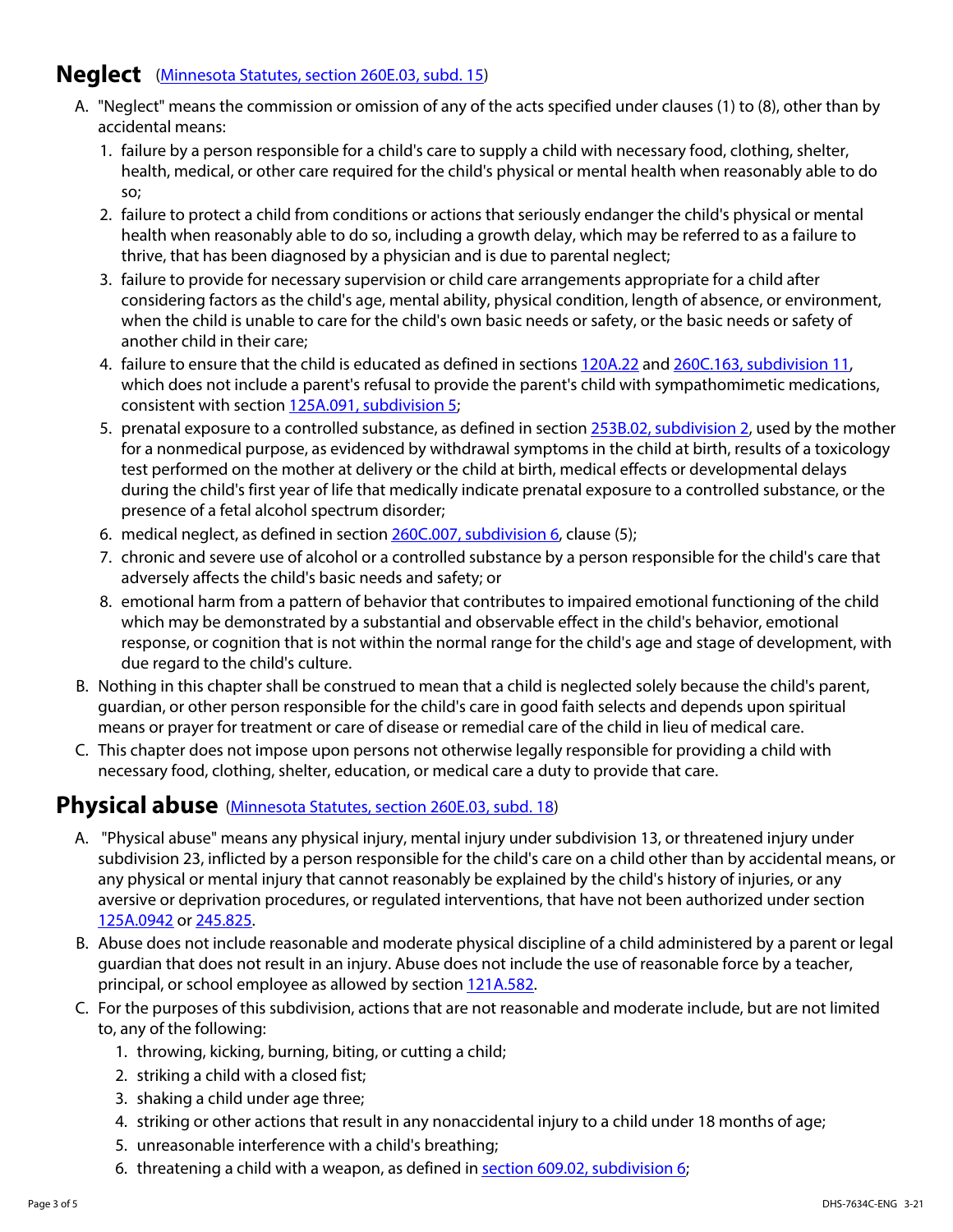#### **Neglect** [\(Minnesota Statutes, section 260E.03, subd. 15\)](https://www.revisor.mn.gov/statutes/cite/260E.03#stat.260E.03.15)

- A. "Neglect" means the commission or omission of any of the acts specified under clauses (1) to (8), other than by accidental means:
	- 1. failure by a person responsible for a child's care to supply a child with necessary food, clothing, shelter, health, medical, or other care required for the child's physical or mental health when reasonably able to do so;
	- 2. failure to protect a child from conditions or actions that seriously endanger the child's physical or mental health when reasonably able to do so, including a growth delay, which may be referred to as a failure to thrive, that has been diagnosed by a physician and is due to parental neglect;
	- 3. failure to provide for necessary supervision or child care arrangements appropriate for a child after considering factors as the child's age, mental ability, physical condition, length of absence, or environment, when the child is unable to care for the child's own basic needs or safety, or the basic needs or safety of another child in their care;
	- 4. failure to ensure that the child is educated as defined in sections [120A.22](https://www.revisor.mn.gov/statutes/cite/120A.22) and [260C.163, subdivision 11](https://www.revisor.mn.gov/statutes/cite/260C.163#stat.260C.163.11), which does not include a parent's refusal to provide the parent's child with sympathomimetic medications, consistent with section [125A.091, subdivision 5;](https://www.revisor.mn.gov/statutes/cite/125A.091)
	- 5. prenatal exposure to a controlled substance, as defined in section [253B.02, subdivision 2](https://www.revisor.mn.gov/statutes/cite/253B.02), used by the mother for a nonmedical purpose, as evidenced by withdrawal symptoms in the child at birth, results of a toxicology test performed on the mother at delivery or the child at birth, medical effects or developmental delays during the child's first year of life that medically indicate prenatal exposure to a controlled substance, or the presence of a fetal alcohol spectrum disorder;
	- 6. medical neglect, as defined in section [260C.007, subdivision 6](https://www.revisor.mn.gov/statutes/cite/260C.007#stat.260C.007.6), clause (5);
	- 7. chronic and severe use of alcohol or a controlled substance by a person responsible for the child's care that adversely affects the child's basic needs and safety; or
	- 8. emotional harm from a pattern of behavior that contributes to impaired emotional functioning of the child which may be demonstrated by a substantial and observable effect in the child's behavior, emotional response, or cognition that is not within the normal range for the child's age and stage of development, with due regard to the child's culture.
- B. Nothing in this chapter shall be construed to mean that a child is neglected solely because the child's parent, guardian, or other person responsible for the child's care in good faith selects and depends upon spiritual means or prayer for treatment or care of disease or remedial care of the child in lieu of medical care.
- C. This chapter does not impose upon persons not otherwise legally responsible for providing a child with necessary food, clothing, shelter, education, or medical care a duty to provide that care.

#### **Physical abuse** [\(Minnesota Statutes, section 260E.03, subd. 18\)](https://www.revisor.mn.gov/statutes/cite/260E.03#stat.260E.03.18)

- A. "Physical abuse" means any physical injury, mental injury under subdivision 13, or threatened injury under subdivision 23, inflicted by a person responsible for the child's care on a child other than by accidental means, or any physical or mental injury that cannot reasonably be explained by the child's history of injuries, or any aversive or deprivation procedures, or regulated interventions, that have not been authorized under section [125A.0942](https://www.revisor.mn.gov/statutes/cite/125A.0942) or [245.825.](https://www.revisor.mn.gov/statutes/cite/245.825)
- B. Abuse does not include reasonable and moderate physical discipline of a child administered by a parent or legal guardian that does not result in an injury. Abuse does not include the use of reasonable force by a teacher, principal, or school employee as allowed by section [121A.582](https://www.revisor.mn.gov/statutes/cite/121A.582).
- C. For the purposes of this subdivision, actions that are not reasonable and moderate include, but are not limited to, any of the following:
	- 1. throwing, kicking, burning, biting, or cutting a child;
	- 2. striking a child with a closed fist;
	- 3. shaking a child under age three;
	- 4. striking or other actions that result in any nonaccidental injury to a child under 18 months of age;
	- 5. unreasonable interference with a child's breathing;
	- 6. threatening a child with a weapon, as defined in [section 609.02, subdivision 6;](https://www.revisor.mn.gov/statutes/cite/609.02#stat.609.02.6)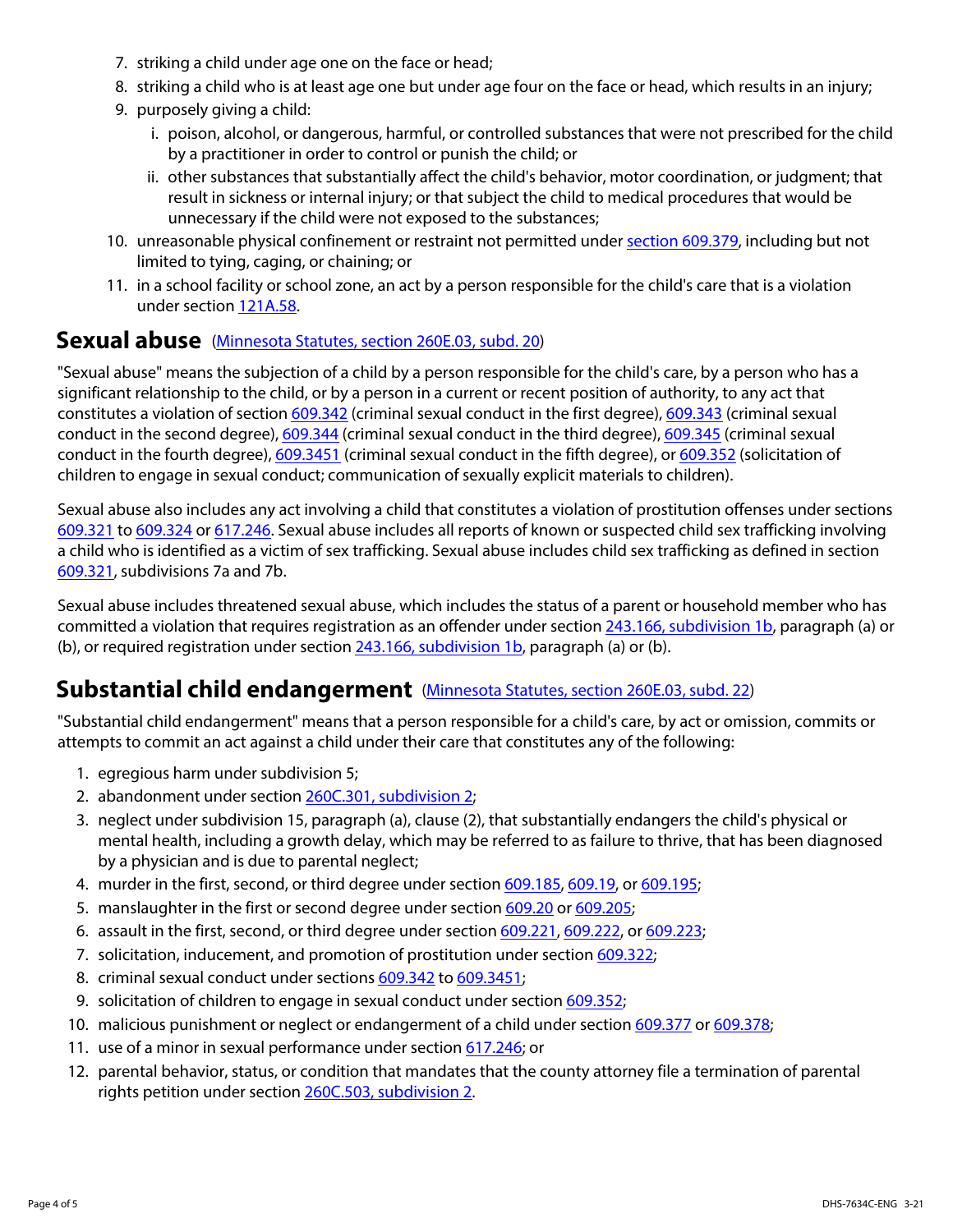- 7. striking a child under age one on the face or head;
- 8. striking a child who is at least age one but under age four on the face or head, which results in an injury;
- 9. purposely giving a child:
	- i. poison, alcohol, or dangerous, harmful, or controlled substances that were not prescribed for the child by a practitioner in order to control or punish the child; or
	- ii. other substances that substantially affect the child's behavior, motor coordination, or judgment; that result in sickness or internal injury; or that subject the child to medical procedures that would be unnecessary if the child were not exposed to the substances;
- 10. unreasonable physical confinement or restraint not permitted under [section 609.379,](https://www.revisor.mn.gov/statutes/cite/609.379) including but not limited to tying, caging, or chaining; or
- 11. in a school facility or school zone, an act by a person responsible for the child's care that is a violation under section [121A.58.](https://www.revisor.mn.gov/statutes/cite/121A.58)

#### **Sexual abuse** [\(Minnesota Statutes, section 260E.03, subd. 20\)](https://www.revisor.mn.gov/statutes/cite/260E.03#stat.260E.03.20)

"Sexual abuse" means the subjection of a child by a person responsible for the child's care, by a person who has a significant relationship to the child, or by a person in a current or recent position of authority, to any act that constitutes a violation of section [609.342](https://www.revisor.mn.gov/statutes/cite/609.342) (criminal sexual conduct in the first degree), [609.343](https://www.revisor.mn.gov/statutes/cite/609.343) (criminal sexual conduct in the second degree), [609.344](https://www.revisor.mn.gov/statutes/cite/609.344) (criminal sexual conduct in the third degree), [609.345](https://www.revisor.mn.gov/statutes/cite/609.345) (criminal sexual conduct in the fourth degree), [609.3451](https://www.revisor.mn.gov/statutes/cite/609.3451) (criminal sexual conduct in the fifth degree), or [609.352](https://www.revisor.mn.gov/statutes/cite/609.352) (solicitation of children to engage in sexual conduct; communication of sexually explicit materials to children).

Sexual abuse also includes any act involving a child that constitutes a violation of prostitution offenses under sections [609.321](https://www.revisor.mn.gov/statutes/cite/609.321) to [609.324](https://www.revisor.mn.gov/statutes/cite/609.324) or [617.246](https://www.revisor.mn.gov/statutes/cite/617.246). Sexual abuse includes all reports of known or suspected child sex trafficking involving a child who is identified as a victim of sex trafficking. Sexual abuse includes child sex trafficking as defined in section [609.321](https://www.revisor.mn.gov/statutes/cite/609.321), subdivisions 7a and 7b.

Sexual abuse includes threatened sexual abuse, which includes the status of a parent or household member who has committed a violation that requires registration as an offender under section [243.166, subdivision 1b,](https://www.revisor.mn.gov/statutes/cite/243.166#stat.243.166.1b) paragraph (a) or (b), or required registration under section  $243.166$ , subdivision 1b, paragraph (a) or (b).

#### **Substantial child endangerment** [\(Minnesota Statutes, section 260E.03, subd. 22\)](https://www.revisor.mn.gov/statutes/cite/260E.03#stat.260E.03.22)

"Substantial child endangerment" means that a person responsible for a child's care, by act or omission, commits or attempts to commit an act against a child under their care that constitutes any of the following:

- 1. egregious harm under subdivision 5;
- 2. abandonment under section [260C.301, subdivision 2;](https://www.revisor.mn.gov/statutes/cite/260C.301#stat.260C.301.2)
- 3. neglect under subdivision 15, paragraph (a), clause (2), that substantially endangers the child's physical or mental health, including a growth delay, which may be referred to as failure to thrive, that has been diagnosed by a physician and is due to parental neglect;
- 4. murder in the first, second, or third degree under section [609.185](https://www.revisor.mn.gov/statutes/cite/609.185), [609.19,](https://www.revisor.mn.gov/statutes/cite/609.19) or [609.195](https://www.revisor.mn.gov/statutes/cite/609.195);
- 5. manslaughter in the first or second degree under section [609.20](https://www.revisor.mn.gov/statutes/cite/609.20) or [609.205](https://www.revisor.mn.gov/statutes/cite/609.205);
- 6. assault in the first, second, or third degree under section [609.221,](https://www.revisor.mn.gov/statutes/cite/609.221) [609.222,](https://www.revisor.mn.gov/statutes/cite/609.222) or [609.223](https://www.revisor.mn.gov/statutes/cite/609.223);
- 7. solicitation, inducement, and promotion of prostitution under section [609.322](https://www.revisor.mn.gov/statutes/cite/609.322);
- 8. criminal sexual conduct under sections [609.342](https://www.revisor.mn.gov/statutes/cite/609.342) to [609.3451;](https://www.revisor.mn.gov/statutes/cite/609.3451)
- 9. solicitation of children to engage in sexual conduct under section [609.352](https://www.revisor.mn.gov/statutes/cite/609.352);
- 10. malicious punishment or neglect or endangerment of a child under section [609.377](https://www.revisor.mn.gov/statutes/cite/609.377) or [609.378;](https://www.revisor.mn.gov/statutes/cite/609.378)
- 11. use of a minor in sexual performance under section [617.246;](https://www.revisor.mn.gov/statutes/cite/617.246) or
- 12. parental behavior, status, or condition that mandates that the county attorney file a termination of parental rights petition under section [260C.503, subdivision 2](https://www.revisor.mn.gov/statutes/cite/260C.503#stat.260C.503.2).